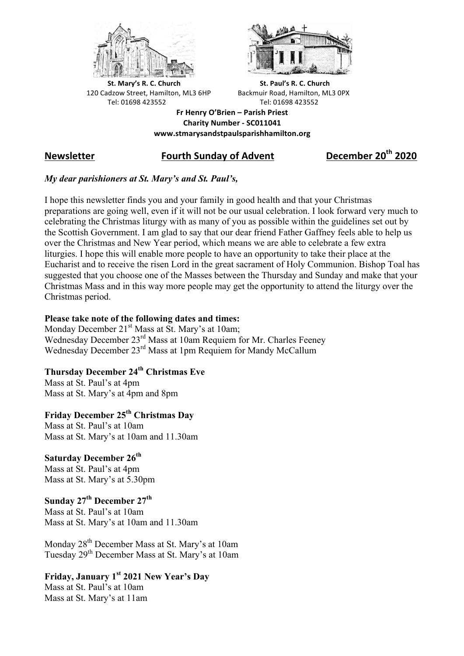



**St.** Mary's R. C. Church St. Paul's R. C. Church 120 Cadzow Street, Hamilton, ML3 6HP Backmuir Road, Hamilton, ML3 0PX Tel: 01698 423552 Tel: 01698 423552

**Fr Henry O'Brien – Parish Priest Charity Number - SC011041 www.stmarysandstpaulsparishhamilton.org**

# **Newsletter Fourth Sunday of Advent December 20th 2020**

### *My dear parishioners at St. Mary's and St. Paul's,*

I hope this newsletter finds you and your family in good health and that your Christmas preparations are going well, even if it will not be our usual celebration. I look forward very much to celebrating the Christmas liturgy with as many of you as possible within the guidelines set out by the Scottish Government. I am glad to say that our dear friend Father Gaffney feels able to help us over the Christmas and New Year period, which means we are able to celebrate a few extra liturgies. I hope this will enable more people to have an opportunity to take their place at the Eucharist and to receive the risen Lord in the great sacrament of Holy Communion. Bishop Toal has suggested that you choose one of the Masses between the Thursday and Sunday and make that your Christmas Mass and in this way more people may get the opportunity to attend the liturgy over the Christmas period.

#### **Please take note of the following dates and times:**

Monday December  $21<sup>st</sup>$  Mass at St. Mary's at 10am; Wednesday December 23<sup>rd</sup> Mass at 10am Requiem for Mr. Charles Feeney Wednesday December 23<sup>rd</sup> Mass at 1pm Requiem for Mandy McCallum

## **Thursday December 24th Christmas Eve**

Mass at St. Paul's at 4pm Mass at St. Mary's at 4pm and 8pm

# **Friday December 25th Christmas Day**

Mass at St. Paul's at 10am Mass at St. Mary's at 10am and 11.30am

### **Saturday December 26th**

Mass at St. Paul's at 4pm Mass at St. Mary's at 5.30pm

# **Sunday 27th December 27th**

Mass at St. Paul's at 10am Mass at St. Mary's at 10am and 11.30am

Monday 28<sup>th</sup> December Mass at St. Mary's at 10am Tuesday 29th December Mass at St. Mary's at 10am

### **Friday, January 1st 2021 New Year's Day**

Mass at St. Paul's at 10am Mass at St. Mary's at 11am